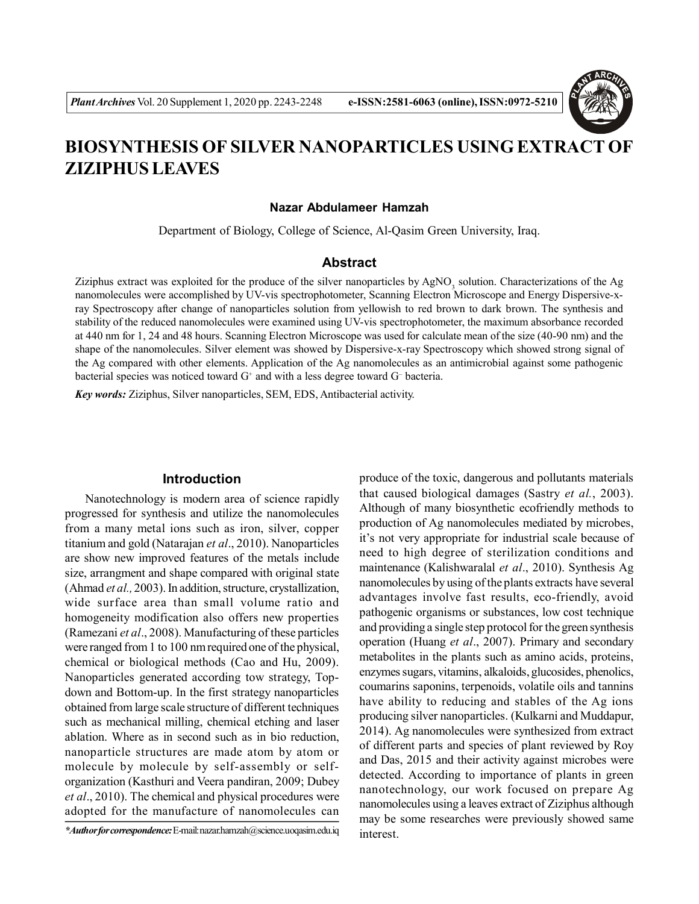

# **BIOSYNTHESIS OF SILVER NANOPARTICLES USING EXTRACT OF ZIZIPHUS LEAVES**

#### **Nazar Abdulameer Hamzah**

Department of Biology, College of Science, Al-Qasim Green University, Iraq.

# **Abstract**

Ziziphus extract was exploited for the produce of the silver nanoparticles by  $AgNO<sub>3</sub>$  solution. Characterizations of the Ag nanomolecules were accomplished by UV-vis spectrophotometer, Scanning Electron Microscope and Energy Dispersive-xray Spectroscopy after change of nanoparticles solution from yellowish to red brown to dark brown. The synthesis and stability of the reduced nanomolecules were examined using UV-vis spectrophotometer, the maximum absorbance recorded at 440 nm for 1, 24 and 48 hours. Scanning Electron Microscope was used for calculate mean of the size (40-90 nm) and the shape of the nanomolecules. Silver element was showed by Dispersive-x-ray Spectroscopy which showed strong signal of the Ag compared with other elements. Application of the Ag nanomolecules as an antimicrobial against some pathogenic bacterial species was noticed toward  $G<sup>+</sup>$  and with a less degree toward  $G<sup>-</sup>$  bacteria.

*Key words:* Ziziphus, Silver nanoparticles, SEM, EDS, Antibacterial activity.

#### **Introduction**

Nanotechnology is modern area of science rapidly progressed for synthesis and utilize the nanomolecules from a many metal ions such as iron, silver, copper titanium and gold (Natarajan *et al*., 2010). Nanoparticles are show new improved features of the metals include size, arrangment and shape compared with original state (Ahmad *et al.,* 2003). In addition, structure, crystallization, wide surface area than small volume ratio and homogeneity modification also offers new properties (Ramezani *et al*., 2008). Manufacturing of these particles were ranged from 1 to 100 nm required one of the physical, chemical or biological methods (Cao and Hu, 2009). Nanoparticles generated according tow strategy, Topdown and Bottom-up. In the first strategy nanoparticles obtained from large scale structure of different techniques such as mechanical milling, chemical etching and laser ablation. Where as in second such as in bio reduction, nanoparticle structures are made atom by atom or molecule by molecule by self-assembly or selforganization (Kasthuri and Veera pandiran, 2009; Dubey *et al*., 2010). The chemical and physical procedures were adopted for the manufacture of nanomolecules can produce of the toxic, dangerous and pollutants materials that caused biological damages (Sastry *et al.*, 2003). Although of many biosynthetic ecofriendly methods to production of Ag nanomolecules mediated by microbes, it's not very appropriate for industrial scale because of need to high degree of sterilization conditions and maintenance (Kalishwaralal *et al*., 2010). Synthesis Ag nanomolecules by using of the plants extracts have several advantages involve fast results, eco-friendly, avoid pathogenic organisms or substances, low cost technique and providing a single step protocol for the green synthesis operation (Huang *et al*., 2007). Primary and secondary metabolites in the plants such as amino acids, proteins, enzymes sugars, vitamins, alkaloids, glucosides, phenolics, coumarins saponins, terpenoids, volatile oils and tannins have ability to reducing and stables of the Ag ions producing silver nanoparticles. (Kulkarni and Muddapur, 2014). Ag nanomolecules were synthesized from extract of different parts and species of plant reviewed by Roy and Das, 2015 and their activity against microbes were detected. According to importance of plants in green nanotechnology, our work focused on prepare Ag nanomolecules using a leaves extract of Ziziphus although may be some researches were previously showed same interest.

*<sup>\*</sup>Author for correspondence:* E-mail: nazar.hamzah@science.uoqasim.edu.iq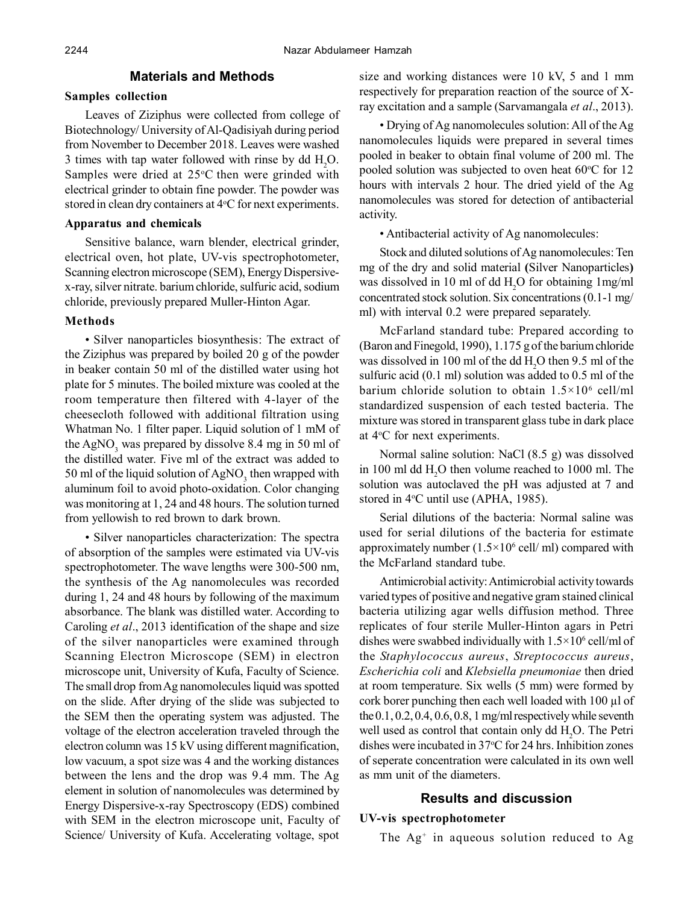# **Materials and Methods**

#### **Samples collection**

Leaves of Ziziphus were collected from college of Biotechnology/ University of Al-Qadisiyah during period from November to December 2018. Leaves were washed 3 times with tap water followed with rinse by dd H<sub>2</sub>O. Samples were dried at  $25^{\circ}$ C then were grinded with electrical grinder to obtain fine powder. The powder was stored in clean dry containers at  $4^{\circ}$ C for next experiments.

## **Apparatus and chemicals**

Sensitive balance, warn blender, electrical grinder, electrical oven, hot plate, UV-vis spectrophotometer, Scanning electron microscope (SEM), Energy Dispersivex-ray, silver nitrate. barium chloride, sulfuric acid, sodium chloride, previously prepared Muller-Hinton Agar.

## **Methods**

• Silver nanoparticles biosynthesis: The extract of the Ziziphus was prepared by boiled 20 g of the powder in beaker contain 50 ml of the distilled water using hot plate for 5 minutes. The boiled mixture was cooled at the room temperature then filtered with 4-layer of the cheesecloth followed with additional filtration using Whatman No. 1 filter paper. Liquid solution of 1 mM of the AgNO<sub>3</sub> was prepared by dissolve 8.4 mg in 50 ml of the distilled water. Five ml of the extract was added to 50 ml of the liquid solution of  $AgNO<sub>3</sub>$  then wrapped with aluminum foil to avoid photo-oxidation. Color changing was monitoring at 1, 24 and 48 hours. The solution turned from yellowish to red brown to dark brown.

• Silver nanoparticles characterization: The spectra of absorption of the samples were estimated via UV-vis spectrophotometer. The wave lengths were 300-500 nm, the synthesis of the Ag nanomolecules was recorded during 1, 24 and 48 hours by following of the maximum absorbance. The blank was distilled water. According to Caroling *et al*., 2013 identification of the shape and size of the silver nanoparticles were examined through Scanning Electron Microscope (SEM) in electron microscope unit, University of Kufa, Faculty of Science. The small drop from Ag nanomolecules liquid was spotted on the slide. After drying of the slide was subjected to the SEM then the operating system was adjusted. The voltage of the electron acceleration traveled through the electron column was 15 kV using different magnification, low vacuum, a spot size was 4 and the working distances between the lens and the drop was 9.4 mm. The Ag element in solution of nanomolecules was determined by Energy Dispersive-x-ray Spectroscopy (EDS) combined with SEM in the electron microscope unit, Faculty of Science/ University of Kufa. Accelerating voltage, spot

size and working distances were 10 kV, 5 and 1 mm respectively for preparation reaction of the source of Xray excitation and a sample (Sarvamangala *et al*., 2013).

• Drying of Ag nanomolecules solution: All of the Ag nanomolecules liquids were prepared in several times pooled in beaker to obtain final volume of 200 ml. The pooled solution was subjected to oven heat  $60^{\circ}$ C for 12 hours with intervals 2 hour. The dried yield of the Ag nanomolecules was stored for detection of antibacterial activity.

• Antibacterial activity of Ag nanomolecules:

Stock and diluted solutions of Ag nanomolecules: Ten mg of the dry and solid material **(**Silver Nanoparticles**)** was dissolved in 10 ml of dd H<sub>2</sub>O for obtaining 1mg/ml concentrated stock solution. Six concentrations (0.1-1 mg/ ml) with interval 0.2 were prepared separately.

McFarland standard tube: Prepared according to (Baron and Finegold, 1990), 1.175 g of the barium chloride was dissolved in 100 ml of the dd H<sub>2</sub>O then 9.5 ml of the sulfuric acid (0.1 ml) solution was added to 0.5 ml of the barium chloride solution to obtain  $1.5 \times 10^6$  cell/ml standardized suspension of each tested bacteria. The mixture was stored in transparent glass tube in dark place at 4<sup>o</sup>C for next experiments.

Normal saline solution: NaCl (8.5 g) was dissolved in 100 ml dd H<sub>2</sub>O then volume reached to 1000 ml. The solution was autoclaved the pH was adjusted at 7 and stored in  $4^{\circ}$ C until use (APHA, 1985).

Serial dilutions of the bacteria: Normal saline was used for serial dilutions of the bacteria for estimate approximately number  $(1.5 \times 10^6 \text{ cell/m})$  compared with the McFarland standard tube.

Antimicrobial activity: Antimicrobial activity towards varied types of positive and negative gram stained clinical bacteria utilizing agar wells diffusion method. Three replicates of four sterile Muller-Hinton agars in Petri dishes were swabbed individually with  $1.5 \times 10^6$  cell/ml of the *Staphylococcus aureus*, *Streptococcus aureus*, *Escherichia coli* and *Klebsiella pneumoniae* then dried at room temperature. Six wells (5 mm) were formed by cork borer punching then each well loaded with 100 µl of the  $0.1$ ,  $0.2$ ,  $0.4$ ,  $0.6$ ,  $0.8$ , 1 mg/ml respectively while seventh well used as control that contain only dd H<sub>2</sub>O. The Petri dishes were incubated in  $37^{\circ}$ C for 24 hrs. Inhibition zones of seperate concentration were calculated in its own well as mm unit of the diameters.

# **Results and discussion**

#### **UV-vis spectrophotometer**

The Ag<sup>+</sup> in aqueous solution reduced to Ag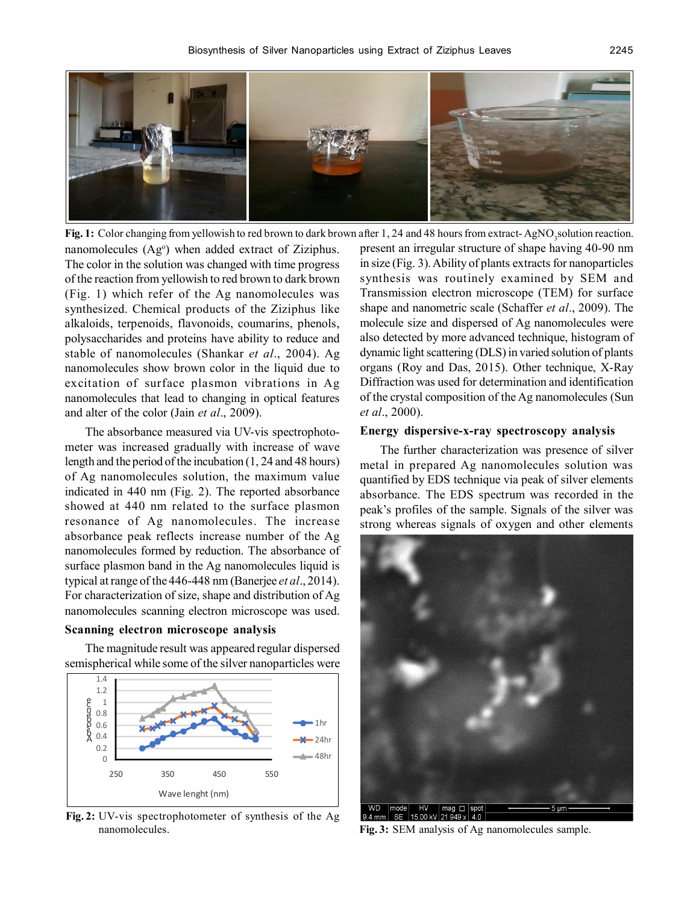

nanomolecules (Ag<sup>o</sup>) when added extract of Ziziphus. The color in the solution was changed with time progress of the reaction from yellowish to red brown to dark brown (Fig. 1) which refer of the Ag nanomolecules was synthesized. Chemical products of the Ziziphus like alkaloids, terpenoids, flavonoids, coumarins, phenols, polysaccharides and proteins have ability to reduce and stable of nanomolecules (Shankar *et al*., 2004). Ag nanomolecules show brown color in the liquid due to excitation of surface plasmon vibrations in Ag nanomolecules that lead to changing in optical features and alter of the color (Jain *et al*., 2009). Fig. 1: Color changing from yellowish to red brown to dark brown after 1, 24 and 48 hours from extract-AgNO<sub>3</sub>solution reaction.

The absorbance measured via UV-vis spectrophotometer was increased gradually with increase of wave length and the period of the incubation (1, 24 and 48 hours) of Ag nanomolecules solution, the maximum value indicated in 440 nm (Fig. 2). The reported absorbance showed at 440 nm related to the surface plasmon resonance of Ag nanomolecules. The increase absorbance peak reflects increase number of the Ag nanomolecules formed by reduction. The absorbance of surface plasmon band in the Ag nanomolecules liquid is typical at range of the 446-448 nm (Banerjee *et al*., 2014). For characterization of size, shape and distribution of Ag nanomolecules scanning electron microscope was used.

#### **Scanning electron microscope analysis**

The magnitude result was appeared regular dispersed semispherical while some of the silver nanoparticles were



**Fig. 2:** UV-vis spectrophotometer of synthesis of the Ag nanomolecules.

present an irregular structure of shape having 40-90 nm in size (Fig. 3). Ability of plants extracts for nanoparticles synthesis was routinely examined by SEM and Transmission electron microscope (TEM) for surface shape and nanometric scale (Schaffer *et al*., 2009). The molecule size and dispersed of Ag nanomolecules were also detected by more advanced technique, histogram of dynamic light scattering (DLS) in varied solution of plants organs (Roy and Das, 2015). Other technique, X-Ray Diffraction was used for determination and identification of the crystal composition of the Ag nanomolecules (Sun *et al*., 2000).

#### **Energy dispersive-x-ray spectroscopy analysis**

The further characterization was presence of silver metal in prepared Ag nanomolecules solution was quantified by EDS technique via peak of silver elements absorbance. The EDS spectrum was recorded in the peak's profiles of the sample. Signals of the silver was strong whereas signals of oxygen and other elements



**Fig. 3:** SEM analysis of Ag nanomolecules sample.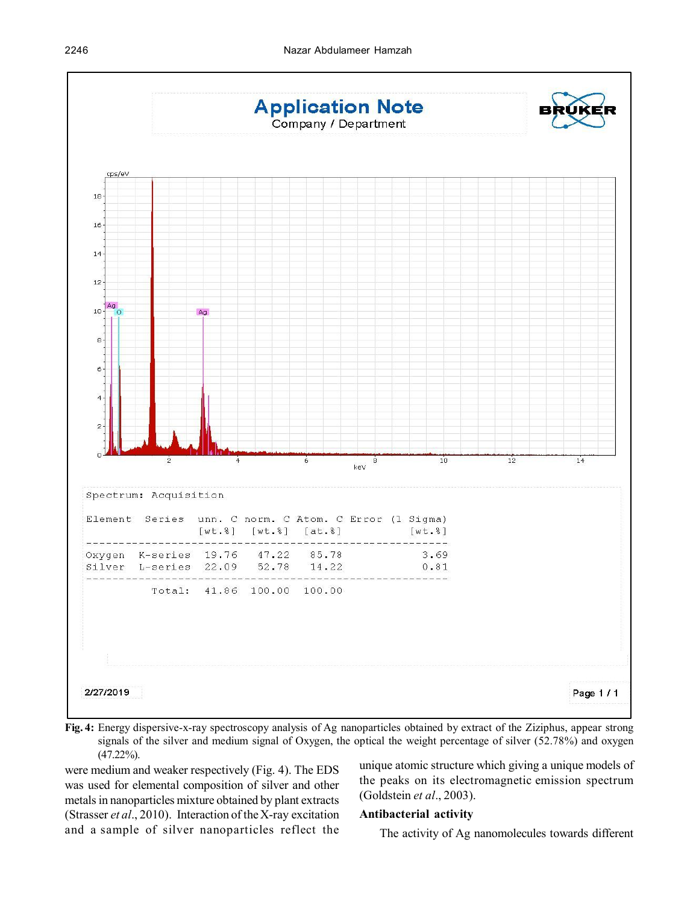

**Fig. 4:** Energy dispersive-x-ray spectroscopy analysis of Ag nanoparticles obtained by extract of the Ziziphus, appear strong signals of the silver and medium signal of Oxygen, the optical the weight percentage of silver (52.78%) and oxygen (47.22%).

were medium and weaker respectively (Fig. 4). The EDS was used for elemental composition of silver and other metals in nanoparticles mixture obtained by plant extracts (Strasser *et al*., 2010). Interaction of the X-ray excitation and a sample of silver nanoparticles reflect the

unique atomic structure which giving a unique models of the peaks on its electromagnetic emission spectrum (Goldstein *et al*., 2003).

#### **Antibacterial activity**

The activity of Ag nanomolecules towards different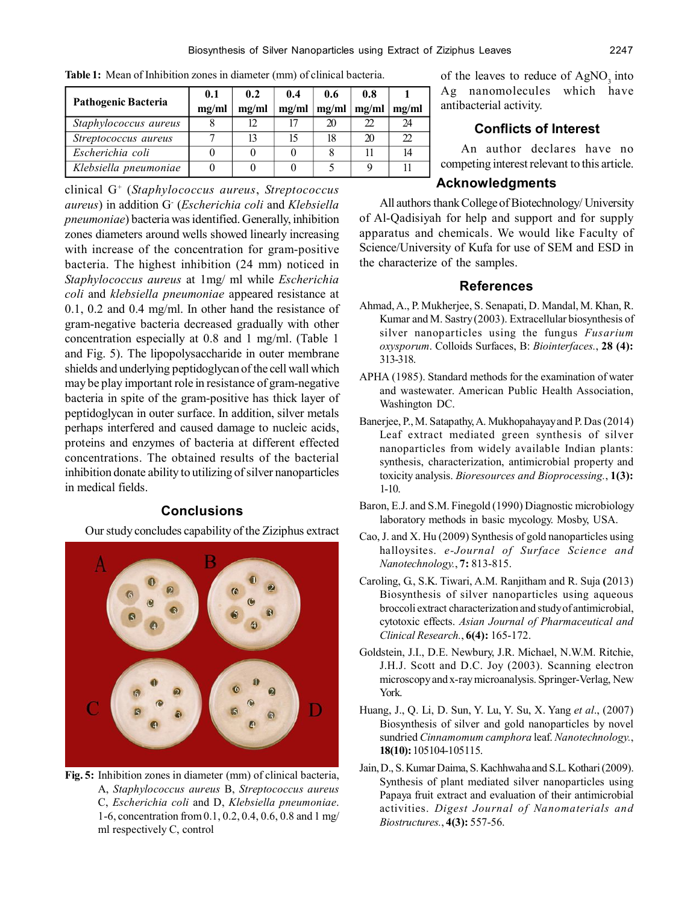| <b>Pathogenic Bacteria</b> | 0.1   | 0.2   | 0.4   | 0.6   | 0.8   |       |
|----------------------------|-------|-------|-------|-------|-------|-------|
|                            | mg/ml | mg/ml | me/ml | mg/ml | mg/ml | mg/ml |
| Staphylococcus aureus      |       | 12    |       | 20    |       | 24    |
| Streptococcus aureus       |       | 13    |       | 18    | 20    | ႒ာ    |
| Escherichia coli           |       |       |       |       |       |       |
| Klebsiella pneumoniae      |       |       |       |       |       |       |

**Table 1:** Mean of Inhibition zones in diameter (mm) of clinical bacteria.

clinical G<sup>+</sup> (*Staphylococcus aureus*, *Streptococcus aureus*) in addition G- (*Escherichia coli* and *Klebsiella pneumoniae*) bacteria was identified. Generally, inhibition zones diameters around wells showed linearly increasing with increase of the concentration for gram-positive bacteria. The highest inhibition (24 mm) noticed in *Staphylococcus aureus* at 1mg/ ml while *Escherichia coli* and *klebsiella pneumoniae* appeared resistance at 0.1, 0.2 and 0.4 mg/ml. In other hand the resistance of gram-negative bacteria decreased gradually with other concentration especially at 0.8 and 1 mg/ml. (Table 1 and Fig. 5). The lipopolysaccharide in outer membrane shields and underlying peptidoglycan of the cell wall which may be play important role in resistance of gram-negative bacteria in spite of the gram-positive has thick layer of peptidoglycan in outer surface. In addition, silver metals perhaps interfered and caused damage to nucleic acids, proteins and enzymes of bacteria at different effected concentrations. The obtained results of the bacterial inhibition donate ability to utilizing of silver nanoparticles in medical fields.

## **Conclusions**

Our study concludes capability of the Ziziphus extract



**Fig. 5:** Inhibition zones in diameter (mm) of clinical bacteria, A, *Staphylococcus aureus* B, *Streptococcus aureus* C, *Escherichia coli* and D, *Klebsiella pneumoniae*. 1-6, concentration from 0.1, 0.2, 0.4, 0.6, 0.8 and 1 mg/ ml respectively C, control

of the leaves to reduce of AgNO<sub>2</sub> into Ag nanomolecules which have antibacterial activity.

# **Conflicts of Interest**

An author declares have no competing interest relevant to this article.

# **Acknowledgments**

All authors thank College of Biotechnology/ University of Al-Qadisiyah for help and support and for supply apparatus and chemicals. We would like Faculty of Science/University of Kufa for use of SEM and ESD in the characterize of the samples.

## **References**

- Ahmad, A., P. Mukherjee, S. Senapati, D. Mandal, M. Khan, R. Kumar and M. Sastry (2003). Extracellular biosynthesis of silver nanoparticles using the fungus *Fusarium oxysporum*. Colloids Surfaces, B: *Biointerfaces.*, **28 (4):** 313-318.
- APHA (1985). Standard methods for the examination of water and wastewater. American Public Health Association, Washington DC.
- Banerjee, P., M. Satapathy, A. Mukhopahayay and P. Das (2014) Leaf extract mediated green synthesis of silver nanoparticles from widely available Indian plants: synthesis, characterization, antimicrobial property and toxicity analysis. *Bioresources and Bioprocessing.*, **1(3):** 1-10.
- Baron, E.J. and S.M. Finegold (1990) Diagnostic microbiology laboratory methods in basic mycology. Mosby, USA.
- Cao, J. and X. Hu (2009) Synthesis of gold nanoparticles using halloysites. *e-Journal of Surface Science and Nanotechnology.*, **7:** 813-815.
- Caroling, G., S.K. Tiwari, A.M. Ranjitham and R. Suja **(**2013) Biosynthesis of silver nanoparticles using aqueous broccoli extract characterization and study of antimicrobial, cytotoxic effects. *Asian Journal of Pharmaceutical and Clinical Research.*, **6(4):** 165-172.
- Goldstein, J.I., D.E. Newbury, J.R. Michael, N.W.M. Ritchie, J.H.J. Scott and D.C. Joy (2003). Scanning electron microscopy and x-ray microanalysis. Springer-Verlag, New York.
- Huang, J., Q. Li, D. Sun, Y. Lu, Y. Su, X. Yang *et al*., (2007) Biosynthesis of silver and gold nanoparticles by novel sundried *Cinnamomum camphora* leaf. *Nanotechnology.*, **18(10):** 105104-105115.
- Jain, D., S. Kumar Daima, S. Kachhwaha and S.L. Kothari (2009). Synthesis of plant mediated silver nanoparticles using Papaya fruit extract and evaluation of their antimicrobial activities. *Digest Journal of Nanomaterials and Biostructures.*, **4(3):** 557-56.